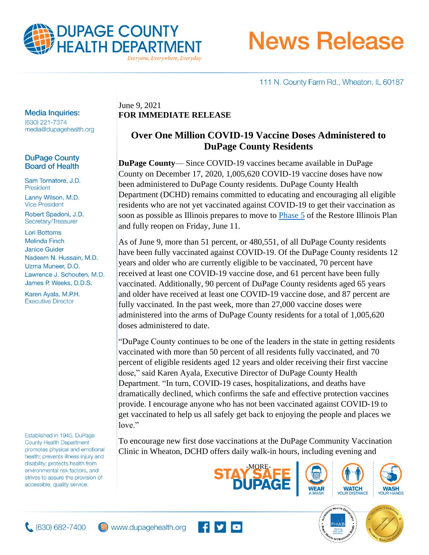

# **News Release**

111 N. County Farm Rd., Wheaton, IL 60187

#### **Media Inquiries:**

(630) 221-7374 media@dupagehealth.org

#### **DuPage County Board of Health**

Sam Tornatore, J.D. President Lanny Wilson, M.D. **Vice President** 

Robert Spadoni, J.D. Secretary/Treasurer

**Lori Bottoms Melinda Finch Janice Guider** Nadeem N. Hussain, M.D. Uzma Muneer, D.O. Lawrence J. Schouten, M.D. James P. Weeks, D.D.S.

Karen Ayala, M.P.H. **Executive Director** 

Established in 1945, DuPage **County Health Department** promotes physical and emotional health; prevents illness injury and disability; protects health from environmental risk factors, and strives to assure the provision of accessible, quality service.

### June 9, 2021 **FOR IMMEDIATE RELEASE**

## **Over One Million COVID-19 Vaccine Doses Administered to DuPage County Residents**

**DuPage County**— Since COVID-19 vaccines became available in DuPage County on December 17, 2020, 1,005,620 COVID-19 vaccine doses have now been administered to DuPage County residents. DuPage County Health Department (DCHD) remains committed to educating and encouraging all eligible residents who are not yet vaccinated against COVID-19 to get their vaccination as soon as possible as Illinois prepares to move to [Phase 5](http://dph.illinois.gov/sites/default/files/COVID19/Illinois%20Phase%205%20Guidelines.pdf) of the Restore Illinois Plan and fully reopen on Friday, June 11.

As of June 9, more than 51 percent, or 480,551, of all DuPage County residents have been fully vaccinated against COVID-19. Of the DuPage County residents 12 years and older who are currently eligible to be vaccinated, 70 percent have received at least one COVID-19 vaccine dose, and 61 percent have been fully vaccinated. Additionally, 90 percent of DuPage County residents aged 65 years and older have received at least one COVID-19 vaccine dose, and 87 percent are fully vaccinated. In the past week, more than 27,000 vaccine doses were administered into the arms of DuPage County residents for a total of 1,005,620 doses administered to date.

"DuPage County continues to be one of the leaders in the state in getting residents vaccinated with more than 50 percent of all residents fully vaccinated, and 70 percent of eligible residents aged 12 years and older receiving their first vaccine dose," said Karen Ayala, Executive Director of DuPage County Health Department. "In turn, COVID-19 cases, hospitalizations, and deaths have dramatically declined, which confirms the safe and effective protection vaccines provide. I encourage anyone who has not been vaccinated against COVID-19 to get vaccinated to help us all safely get back to enjoying the people and places we love."

To encourage new first dose vaccinations at the DuPage Community Vaccination Clinic in Wheaton, DCHD offers daily walk-in hours, including evening and









**WATCH**